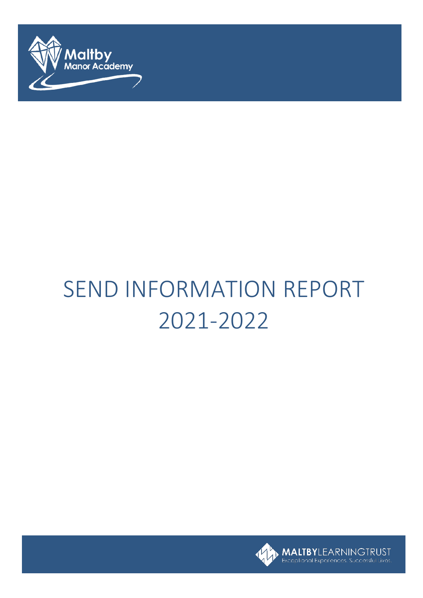

# SEND INFORMATION REPORT 2021-2022

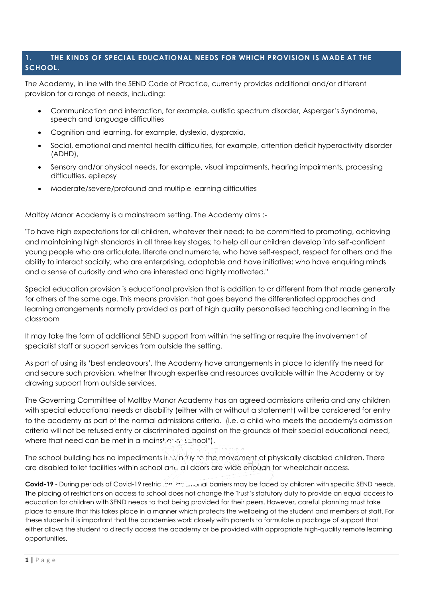# **1. THE KINDS OF SPECIAL EDUCATIONAL NEEDS FOR WHICH PROVISION IS MADE AT THE SCHOOL.**

The Academy, in line with the SEND Code of Practice, currently provides additional and/or different provision for a range of needs, including:

- Communication and interaction, for example, autistic spectrum disorder, Asperger's Syndrome, speech and language difficulties
- Cognition and learning, for example, dyslexia, dyspraxia,
- Social, emotional and mental health difficulties, for example, attention deficit hyperactivity disorder (ADHD),
- Sensory and/or physical needs, for example, visual impairments, hearing impairments, processing difficulties, epilepsy
- Moderate/severe/profound and multiple learning difficulties

Maltby Manor Academy is a mainstream setting. The Academy aims :-

"To have high expectations for all children, whatever their need; to be committed to promoting, achieving and maintaining high standards in all three key stages; to help all our children develop into self-confident young people who are articulate, literate and numerate, who have self-respect, respect for others and the ability to interact socially; who are enterprising, adaptable and have initiative; who have enquiring minds and a sense of curiosity and who are interested and highly motivated."

Special education provision is educational provision that is addition to or different from that made generally for others of the same age. This means provision that goes beyond the differentiated approaches and learning arrangements normally provided as part of high quality personalised teaching and learning in the classroom

It may take the form of additional SEND support from within the setting or require the involvement of specialist staff or support services from outside the setting.

As part of using its 'best endeavours', the Academy have arrangements in place to identify the need for and secure such provision, whether through expertise and resources available within the Academy or by drawing support from outside services.

The Governing Committee of Maltby Manor Academy has an agreed admissions criteria and any children with special educational needs or disability (either with or without a statement) will be considered for entry to the academy as part of the normal admissions criteria. (i.e. a child who meets the academy's admission criteria will not be refused entry or discriminated against on the grounds of their special educational need, where that need can be met in a mainst end school\*).

The school building has no impediments internally to the movement of physically disabled children. There are disabled toilet facilities within school and all doors are wide enough for wheelchair access.

**Covid-19** - During periods of Covid-19 restriction, and additional barriers may be faced by children with specific SEND needs. The placing of restrictions on access to school does not change the Trust's statutory duty to provide an equal access to education for children with SEND needs to that being provided for their peers. However, careful planning must take place to ensure that this takes place in a manner which protects the wellbeing of the student and members of staff. For these students it is important that the academies work closely with parents to formulate a package of support that either allows the student to directly access the academy or be provided with appropriate high-quality remote learning opportunities.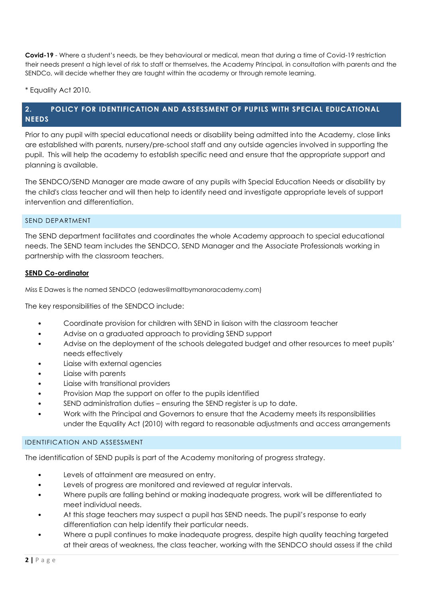**Covid-19** - Where a student's needs, be they behavioural or medical, mean that during a time of Covid-19 restriction their needs present a high level of risk to staff or themselves, the Academy Principal, in consultation with parents and the SENDCo, will decide whether they are taught within the academy or through remote learning.

\* Equality Act 2010.

# **2. POLICY FOR IDENTIFICATION AND ASSESSMENT OF PUPILS WITH SPECIAL EDUCATIONAL NEEDS**

Prior to any pupil with special educational needs or disability being admitted into the Academy, close links are established with parents, nursery/pre-school staff and any outside agencies involved in supporting the pupil. This will help the academy to establish specific need and ensure that the appropriate support and planning is available.

The SENDCO/SEND Manager are made aware of any pupils with Special Education Needs or disability by the child's class teacher and will then help to identify need and investigate appropriate levels of support intervention and differentiation.

#### SEND DEPARTMENT

The SEND department facilitates and coordinates the whole Academy approach to special educational needs. The SEND team includes the SENDCO, SEND Manager and the Associate Professionals working in partnership with the classroom teachers.

#### **SEND Co-ordinator**

Miss E Dawes is the named SENDCO (edawes@maltbymanoracademy.com)

The key responsibilities of the SENDCO include:

- Coordinate provision for children with SEND in liaison with the classroom teacher
- Advise on a graduated approach to providing SEND support
- Advise on the deployment of the schools delegated budget and other resources to meet pupils' needs effectively
- Liaise with external agencies
- Liaise with parents
- Liaise with transitional providers
- Provision Map the support on offer to the pupils identified
- SEND administration duties ensuring the SEND register is up to date.
- Work with the Principal and Governors to ensure that the Academy meets its responsibilities under the Equality Act (2010) with regard to reasonable adjustments and access arrangements

#### IDENTIFICATION AND ASSESSMENT

The identification of SEND pupils is part of the Academy monitoring of progress strategy.

- Levels of attainment are measured on entry.
- Levels of progress are monitored and reviewed at regular intervals.
- Where pupils are falling behind or making inadequate progress, work will be differentiated to meet individual needs.
- At this stage teachers may suspect a pupil has SEND needs. The pupil's response to early differentiation can help identify their particular needs.
- Where a pupil continues to make inadequate progress, despite high quality teaching targeted at their areas of weakness, the class teacher, working with the SENDCO should assess if the child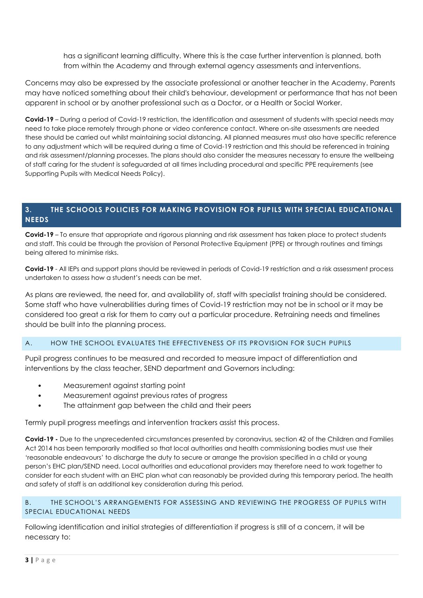has a significant learning difficulty. Where this is the case further intervention is planned, both from within the Academy and through external agency assessments and interventions.

Concerns may also be expressed by the associate professional or another teacher in the Academy. Parents may have noticed something about their child's behaviour, development or performance that has not been apparent in school or by another professional such as a Doctor, or a Health or Social Worker.

**Covid-19** – During a period of Covid-19 restriction, the identification and assessment of students with special needs may need to take place remotely through phone or video conference contact. Where on-site assessments are needed these should be carried out whilst maintaining social distancing. All planned measures must also have specific reference to any adjustment which will be required during a time of Covid-19 restriction and this should be referenced in training and risk assessment/planning processes. The plans should also consider the measures necessary to ensure the wellbeing of staff caring for the student is safeguarded at all times including procedural and specific PPE requirements (see Supporting Pupils with Medical Needs Policy).

# **3. THE SCHOOLS POLICIES FOR MAKING PROVISION FOR PUPILS WITH SPECIAL EDUCATIONAL NEEDS**

**Covid-19** – To ensure that appropriate and rigorous planning and risk assessment has taken place to protect students and staff. This could be through the provision of Personal Protective Equipment (PPE) or through routines and timings being altered to minimise risks.

**Covid-19** - All IEPs and support plans should be reviewed in periods of Covid-19 restriction and a risk assessment process undertaken to assess how a student's needs can be met.

As plans are reviewed, the need for, and availability of, staff with specialist training should be considered. Some staff who have vulnerabilities during times of Covid-19 restriction may not be in school or it may be considered too great a risk for them to carry out a particular procedure. Retraining needs and timelines should be built into the planning process.

# A. HOW THE SCHOOL EVALUATES THE EFFECTIVENESS OF ITS PROVISION FOR SUCH PUPILS

Pupil progress continues to be measured and recorded to measure impact of differentiation and interventions by the class teacher, SEND department and Governors including:

- Measurement against starting point
- Measurement against previous rates of progress
- The attainment gap between the child and their peers

Termly pupil progress meetings and intervention trackers assist this process.

**Covid-19 -** Due to the unprecedented circumstances presented by coronavirus, section 42 of the Children and Families Act 2014 has been temporarily modified so that local authorities and health commissioning bodies must use their 'reasonable endeavours' to discharge the duty to secure or arrange the provision specified in a child or young person's EHC plan/SEND need. Local authorities and educational providers may therefore need to work together to consider for each student with an EHC plan what can reasonably be provided during this temporary period. The health and safety of staff is an additional key consideration during this period.

#### B. THE SCHOOL'S ARRANGEMENTS FOR ASSESSING AND REVIEWING THE PROGRESS OF PUPILS WITH SPECIAL EDUCATIONAL NEEDS

Following identification and initial strategies of differentiation if progress is still of a concern, it will be necessary to: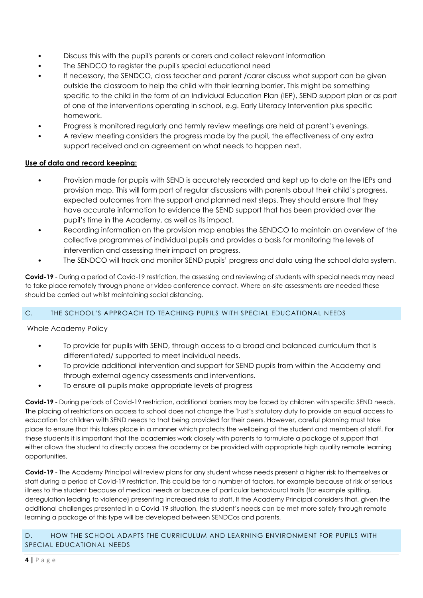- Discuss this with the pupil's parents or carers and collect relevant information
- The SENDCO to register the pupil's special educational need
- If necessary, the SENDCO, class teacher and parent /carer discuss what support can be given outside the classroom to help the child with their learning barrier. This might be something specific to the child in the form of an Individual Education Plan (IEP), SEND support plan or as part of one of the interventions operating in school, e.g. Early Literacy Intervention plus specific homework.
- Progress is monitored regularly and termly review meetings are held at parent's evenings.
- A review meeting considers the progress made by the pupil, the effectiveness of any extra support received and an agreement on what needs to happen next.

#### **Use of data and record keeping:**

- Provision made for pupils with SEND is accurately recorded and kept up to date on the IEPs and provision map. This will form part of regular discussions with parents about their child's progress, expected outcomes from the support and planned next steps. They should ensure that they have accurate information to evidence the SEND support that has been provided over the pupil's time in the Academy, as well as its impact.
- Recording information on the provision map enables the SENDCO to maintain an overview of the collective programmes of individual pupils and provides a basis for monitoring the levels of intervention and assessing their impact on progress.
- The SENDCO will track and monitor SEND pupils' progress and data using the school data system.

**Covid-19** - During a period of Covid-19 restriction, the assessing and reviewing of students with special needs may need to take place remotely through phone or video conference contact. Where on-site assessments are needed these should be carried out whilst maintaining social distancing.

# C. THE SCHOOL'S APPROACH TO TEACHING PUPILS WITH SPECIAL EDUCATIONAL NEEDS

Whole Academy Policy

- To provide for pupils with SEND, through access to a broad and balanced curriculum that is differentiated/ supported to meet individual needs.
- To provide additional intervention and support for SEND pupils from within the Academy and through external agency assessments and interventions.
- To ensure all pupils make appropriate levels of progress

**Covid-19** - During periods of Covid-19 restriction, additional barriers may be faced by children with specific SEND needs. The placing of restrictions on access to school does not change the Trust's statutory duty to provide an equal access to education for children with SEND needs to that being provided for their peers. However, careful planning must take place to ensure that this takes place in a manner which protects the wellbeing of the student and members of staff. For these students it is important that the academies work closely with parents to formulate a package of support that either allows the student to directly access the academy or be provided with appropriate high quality remote learning opportunities.

**Covid-19** - The Academy Principal will review plans for any student whose needs present a higher risk to themselves or staff during a period of Covid-19 restriction. This could be for a number of factors, for example because of risk of serious illness to the student because of medical needs or because of particular behavioural traits (for example spitting, deregulation leading to violence) presenting increased risks to staff. If the Academy Principal considers that, given the additional challenges presented in a Covid-19 situation, the student's needs can be met more safely through remote learning a package of this type will be developed between SENDCos and parents.

#### D. HOW THE SCHOOL ADAPTS THE CURRICULUM AND LEARNING ENVIRONMENT FOR PUPILS WITH SPECIAL EDUCATIONAL NEEDS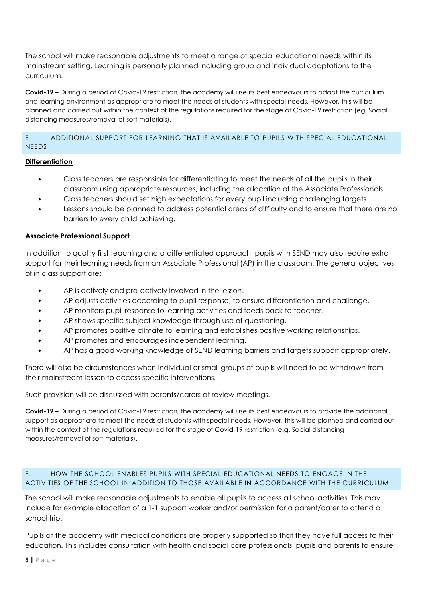The school will make reasonable adjustments to meet a range of special educational needs within its mainstream setting. Learning is personally planned including group and individual adaptations to the curriculum.

**Covid-19** – During a period of Covid-19 restriction, the academy will use its best endeavours to adapt the curriculum and learning environment as appropriate to meet the needs of students with special needs. However, this will be planned and carried out within the context of the regulations required for the stage of Covid-19 restriction (eg. Social distancing measures/removal of soft materials).

# E. ADDITIONAL SUPPORT FOR LEARNING THAT IS AVAILABLE TO PUPILS WITH SPECIAL EDUCATIONAL NEEDS

# **Differentiation**

- Class teachers are responsible for differentiating to meet the needs of all the pupils in their classroom using appropriate resources, including the allocation of the Associate Professionals.
- Class teachers should set high expectations for every pupil including challenging targets
- Lessons should be planned to address potential areas of difficulty and to ensure that there are no barriers to every child achieving.

# **Associate Professional Support**

In addition to quality first teaching and a differentiated approach, pupils with SEND may also require extra support for their learning needs from an Associate Professional (AP) in the classroom. The general objectives of in class support are:

- AP is actively and pro-actively involved in the lesson.
- AP adjusts activities according to pupil response, to ensure differentiation and challenge.
- AP monitors pupil response to learning activities and feeds back to teacher.
- AP shows specific subject knowledge through use of questioning.
- AP promotes positive climate to learning and establishes positive working relationships.
- AP promotes and encourages independent learning.
- AP has a good working knowledge of SEND learning barriers and targets support appropriately.

There will also be circumstances when individual or small groups of pupils will need to be withdrawn from their mainstream lesson to access specific interventions.

Such provision will be discussed with parents/carers at review meetings.

**Covid-19** – During a period of Covid-19 restriction, the academy will use its best endeavours to provide the additional support as appropriate to meet the needs of students with special needs. However, this will be planned and carried out within the context of the regulations required for the stage of Covid-19 restriction (e.g. Social distancing measures/removal of soft materials).

# F. HOW THE SCHOOL ENABLES PUPILS WITH SPECIAL EDUCATIONAL NEEDS TO ENGAGE IN THE ACTIVITIES OF THE SCHOOL IN ADDITION TO THOSE AVAILABLE IN ACCORDANCE WITH THE CURRICULUM:

The school will make reasonable adjustments to enable all pupils to access all school activities. This may include for example allocation of a 1-1 support worker and/or permission for a parent/carer to attend a school trip.

Pupils at the academy with medical conditions are properly supported so that they have full access to their education. This includes consultation with health and social care professionals, pupils and parents to ensure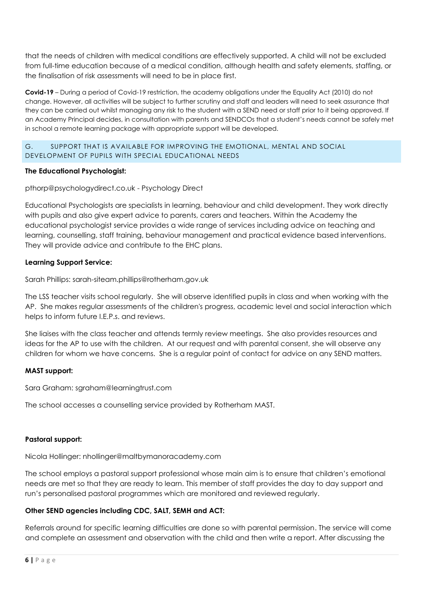that the needs of children with medical conditions are effectively supported. A child will not be excluded from full-time education because of a medical condition, although health and safety elements, staffing, or the finalisation of risk assessments will need to be in place first.

**Covid-19** – During a period of Covid-19 restriction, the academy obligations under the Equality Act (2010) do not change. However, all activities will be subject to further scrutiny and staff and leaders will need to seek assurance that they can be carried out whilst managing any risk to the student with a SEND need or staff prior to it being approved. If an Academy Principal decides, in consultation with parents and SENDCOs that a student's needs cannot be safely met in school a remote learning package with appropriate support will be developed.

#### G. SUPPORT THAT IS AVAILABLE FOR IMPROVING THE EMOTIONAL, MENTAL AND SOCIAL DEVELOPMENT OF PUPILS WITH SPECIAL EDUCATIONAL NEEDS

# **The Educational Psychologist:**

# pthorp@psychologydirect.co.uk - Psychology Direct

Educational Psychologists are specialists in learning, behaviour and child development. They work directly with pupils and also give expert advice to parents, carers and teachers. Within the Academy the educational psychologist service provides a wide range of services including advice on teaching and learning, counselling, staff training, behaviour management and practical evidence based interventions. They will provide advice and contribute to the EHC plans.

# **Learning Support Service:**

Sarah Phillips: sarah-siteam.phillips@rotherham.gov.uk

The LSS teacher visits school regularly. She will observe identified pupils in class and when working with the AP. She makes regular assessments of the children's progress, academic level and social interaction which helps to inform future I.E.P.s. and reviews.

She liaises with the class teacher and attends termly review meetings. She also provides resources and ideas for the AP to use with the children. At our request and with parental consent, she will observe any children for whom we have concerns. She is a regular point of contact for advice on any SEND matters.

# **MAST support:**

Sara Graham: sgraham@learningtrust.com

The school accesses a counselling service provided by Rotherham MAST.

# **Pastoral support:**

Nicola Hollinger: nhollinger@maltbymanoracademy.com

The school employs a pastoral support professional whose main aim is to ensure that children's emotional needs are met so that they are ready to learn. This member of staff provides the day to day support and run's personalised pastoral programmes which are monitored and reviewed regularly.

# **Other SEND agencies including CDC, SALT, SEMH and ACT:**

Referrals around for specific learning difficulties are done so with parental permission. The service will come and complete an assessment and observation with the child and then write a report. After discussing the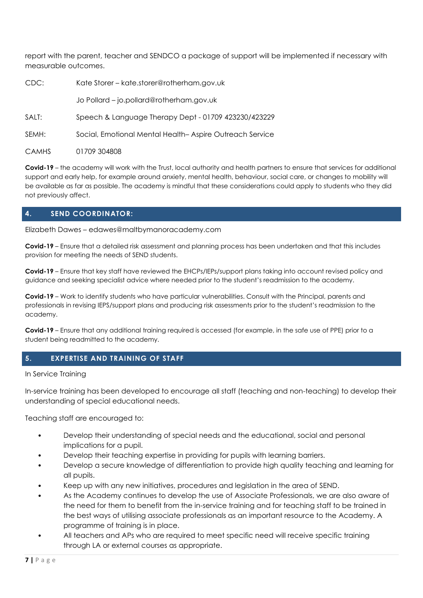report with the parent, teacher and SENDCO a package of support will be implemented if necessary with measurable outcomes.

| CDC:         | Kate Storer - kate.storer@rotherham.gov.uk              |  |  |
|--------------|---------------------------------------------------------|--|--|
|              | Jo Pollard - jo.pollard@rotherham.gov.uk                |  |  |
| SALT:        | Speech & Language Therapy Dept - 01709 423230/423229    |  |  |
| SEMH:        | Social, Emotional Mental Health-Aspire Outreach Service |  |  |
| <b>CAMHS</b> | 01709 304808                                            |  |  |

**Covid-19** – the academy will work with the Trust, local authority and health partners to ensure that services for additional support and early help, for example around anxiety, mental health, behaviour, social care, or changes to mobility will be available as far as possible. The academy is mindful that these considerations could apply to students who they did not previously affect.

# **4. SEND COORDINATOR:**

Elizabeth Dawes – edawes@maltbymanoracademy.com

**Covid-19** – Ensure that a detailed risk assessment and planning process has been undertaken and that this includes provision for meeting the needs of SEND students.

**Covid-19** – Ensure that key staff have reviewed the EHCPs/IEPs/support plans taking into account revised policy and guidance and seeking specialist advice where needed prior to the student's readmission to the academy.

**Covid-19** – Work to identify students who have particular vulnerabilities. Consult with the Principal, parents and professionals in revising IEPS/support plans and producing risk assessments prior to the student's readmission to the academy.

**Covid-19** – Ensure that any additional training required is accessed (for example, in the safe use of PPE) prior to a student being readmitted to the academy.

# **5. EXPERTISE AND TRAINING OF STAFF**

#### In Service Training

In-service training has been developed to encourage all staff (teaching and non-teaching) to develop their understanding of special educational needs.

Teaching staff are encouraged to:

- Develop their understanding of special needs and the educational, social and personal implications for a pupil.
- Develop their teaching expertise in providing for pupils with learning barriers.
- Develop a secure knowledge of differentiation to provide high quality teaching and learning for all pupils.
- Keep up with any new initiatives, procedures and legislation in the area of SEND.
- As the Academy continues to develop the use of Associate Professionals, we are also aware of the need for them to benefit from the in-service training and for teaching staff to be trained in the best ways of utilising associate professionals as an important resource to the Academy. A programme of training is in place.
- All teachers and APs who are required to meet specific need will receive specific training through LA or external courses as appropriate.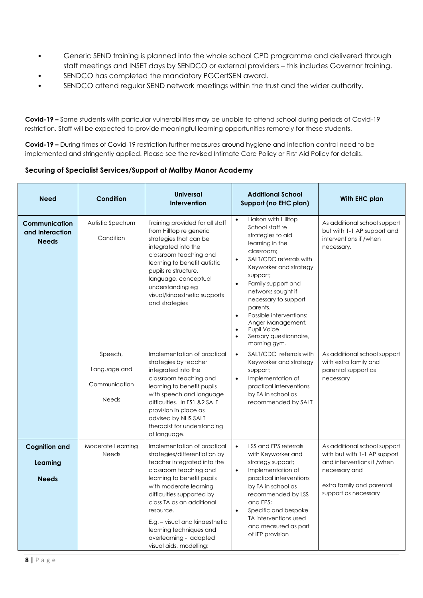- Generic SEND training is planned into the whole school CPD programme and delivered through staff meetings and INSET days by SENDCO or external providers – this includes Governor training.
- SENDCO has completed the mandatory PGCertSEN award.
- SENDCO attend regular SEND network meetings within the trust and the wider authority.

**Covid-19 –** Some students with particular vulnerabilities may be unable to attend school during periods of Covid-19 restriction. Staff will be expected to provide meaningful learning opportunities remotely for these students.

**Covid-19 –** During times of Covid-19 restriction further measures around hygiene and infection control need to be implemented and stringently applied. Please see the revised Intimate Care Policy or First Aid Policy for details.

#### **Securing of Specialist Services/Support at Maltby Manor Academy**

| <b>Need</b>                                      | Condition                                                | <b>Universal</b><br>Intervention                                                                                                                                                                                                                                                                                                                                           | <b>Additional School</b><br>Support (no EHC plan)                                                                                                                                                                                                                                                                                                                                                                               | With EHC plan                                                                                                                                                    |
|--------------------------------------------------|----------------------------------------------------------|----------------------------------------------------------------------------------------------------------------------------------------------------------------------------------------------------------------------------------------------------------------------------------------------------------------------------------------------------------------------------|---------------------------------------------------------------------------------------------------------------------------------------------------------------------------------------------------------------------------------------------------------------------------------------------------------------------------------------------------------------------------------------------------------------------------------|------------------------------------------------------------------------------------------------------------------------------------------------------------------|
| Communication<br>and Interaction<br><b>Needs</b> | Autistic Spectrum<br>Condition                           | Training provided for all staff<br>from Hilltop re generic<br>strategies that can be<br>integrated into the<br>classroom teaching and<br>learning to benefit autistic<br>pupils re structure,<br>language, conceptual<br>understanding eg<br>visual/kinaesthetic supports<br>and strategies                                                                                | Liaison with Hilltop<br>$\bullet$<br>School staff re<br>strategies to aid<br>learning in the<br>classroom;<br>SALT/CDC referrals with<br>$\bullet$<br>Keyworker and strategy<br>support;<br>Family support and<br>$\bullet$<br>networks sought if<br>necessary to support<br>parents.<br>Possible interventions:<br>$\bullet$<br>Anger Management;<br><b>Pupil Voice</b><br>$\bullet$<br>Sensory questionnaire,<br>morning gym. | As additional school support<br>but with 1-1 AP support and<br>interventions if /when<br>necessary.                                                              |
|                                                  | Speech,<br>Language and<br>Communication<br><b>Needs</b> | Implementation of practical<br>strategies by teacher<br>integrated into the<br>classroom teaching and<br>learning to benefit pupils<br>with speech and language<br>difficulties. In FS1 &2 SALT<br>provision in place as<br>advised by NHS SALT<br>therapist for understanding<br>of language.                                                                             | $\bullet$<br>SALT/CDC referrals with<br>Keyworker and strategy<br>support;<br>Implementation of<br>$\bullet$<br>practical interventions<br>by TA in school as<br>recommended by SALT                                                                                                                                                                                                                                            | As additional school support<br>with extra family and<br>parental support as<br>necessary                                                                        |
| <b>Cognition and</b><br>Learning<br><b>Needs</b> | Moderate Learning<br><b>Needs</b>                        | Implementation of practical<br>strategies/differentiation by<br>teacher integrated into the<br>classroom teaching and<br>learning to benefit pupils<br>with moderate learning<br>difficulties supported by<br>class TA as an additional<br>resource.<br>$E.g. - visual$ and kinges the tic<br>learning techniques and<br>overlearning - adapted<br>visual aids, modelling; | $\bullet$<br>LSS and EPS referrals<br>with Keyworker and<br>strategy support;<br>Implementation of<br>$\bullet$<br>practical interventions<br>by TA in school as<br>recommended by LSS<br>and EPS;<br>Specific and bespoke<br>$\bullet$<br>TA interventions used<br>and measured as part<br>of IEP provision                                                                                                                    | As additional school support<br>with but with 1-1 AP support<br>and interventions if /when<br>necessary and<br>extra family and parental<br>support as necessary |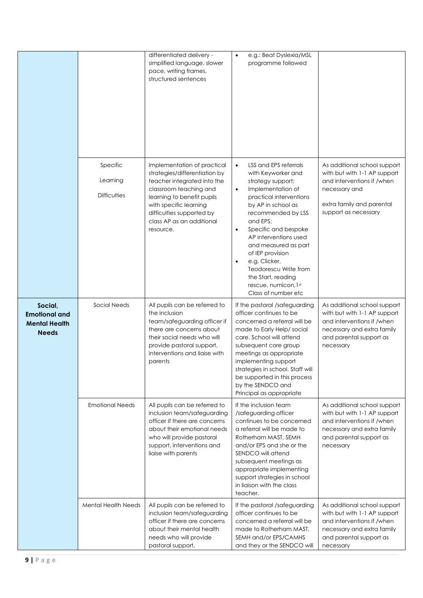|                                                                         |                                             | differentiated delivery -<br>simplified language, slower<br>pace, writing frames,<br>structured sentences                                                                                                                                            | e.g.: Beat Dyslexia/MSL<br>$\bullet$<br>programme followed                                                                                                                                                                                                                                                                                                                                                                               |                                                                                                                                                                  |
|-------------------------------------------------------------------------|---------------------------------------------|------------------------------------------------------------------------------------------------------------------------------------------------------------------------------------------------------------------------------------------------------|------------------------------------------------------------------------------------------------------------------------------------------------------------------------------------------------------------------------------------------------------------------------------------------------------------------------------------------------------------------------------------------------------------------------------------------|------------------------------------------------------------------------------------------------------------------------------------------------------------------|
|                                                                         | Specific<br>Learning<br><b>Difficulties</b> | Implementation of practical<br>strategies/differentiation by<br>teacher integrated into the<br>classroom teaching and<br>learning to benefit pupils<br>with specific learning<br>difficulties supported by<br>class AP as an additional<br>resource. | LSS and EPS referrals<br>$\bullet$<br>with Keyworker and<br>strategy support;<br>Implementation of<br>$\bullet$<br>practical interventions<br>by AP in school as<br>recommended by LSS<br>and EPS;<br>Specific and bespoke<br>$\bullet$<br>AP interventions used<br>and measured as part<br>of IEP provision<br>e.g. Clicker,<br>$\bullet$<br>Teodorescu Write from<br>the Start, reading<br>rescue, numicon, 1st<br>Class of number etc | As additional school support<br>with but with 1-1 AP support<br>and interventions if /when<br>necessary and<br>extra family and parental<br>support as necessary |
| Social,<br><b>Emotional and</b><br><b>Mental Health</b><br><b>Needs</b> | Social Needs                                | All pupils can be referred to<br>the inclusion<br>team/safeguarding officer if<br>there are concerns about<br>their social needs who will<br>provide pastoral support,<br>interventions and liaise with<br>parents                                   | If the pastoral /safeguarding<br>officer continues to be<br>concerned a referral will be<br>made to Early Help/social<br>care. School will attend<br>subsequent core group<br>meetings as appropriate<br>implementing support<br>strategies in school. Staff will<br>be supported in this process<br>by the SENDCO and<br>Principal as appropriate                                                                                       | As additional school support<br>with but with 1-1 AP support<br>and interventions if /when<br>necessary and extra family<br>and parental support as<br>necessary |
|                                                                         | <b>Emotional Needs</b>                      | All pupils can be referred to<br>inclusion team/safeguarding<br>officer if there are concerns<br>about their emotional needs<br>who will provide pastoral<br>support, interventions and<br>liaise with parents                                       | If the inclusion team<br>/safeguarding officer<br>continues to be concerned<br>a referral will be made to<br>Rotherham MAST, SEMH<br>and/or EPS and she or the<br>SENDCO will attend<br>subsequent meetings as<br>appropriate implementing<br>support strategies in school<br>in liaison with the class<br>teacher.                                                                                                                      | As additional school support<br>with but with 1-1 AP support<br>and interventions if /when<br>necessary and extra family<br>and parental support as<br>necessary |
|                                                                         | <b>Mental Health Needs</b>                  | All pupils can be referred to<br>inclusion team/safeguarding<br>officer if there are concerns<br>about their mental health<br>needs who will provide<br>pastoral support,                                                                            | If the pastoral /safeguarding<br>officer continues to be<br>concerned a referral will be<br>made to Rotherham MAST,<br>SEMH and/or EPS/CAMHS<br>and they or the SENDCO will                                                                                                                                                                                                                                                              | As additional school support<br>with but with 1-1 AP support<br>and interventions if /when<br>necessary and extra family<br>and parental support as<br>necessary |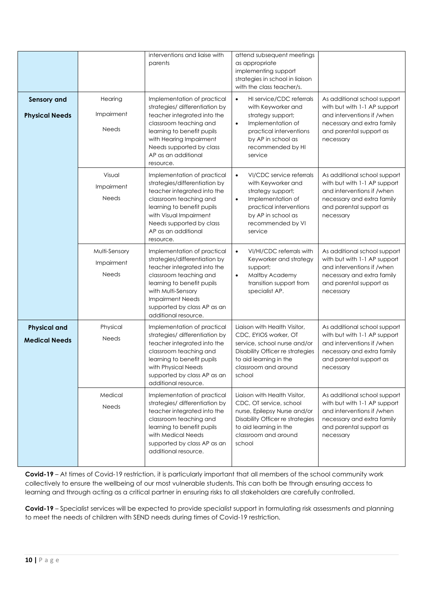|                                             |                                             | interventions and liaise with<br>parents                                                                                                                                                                                                                    | attend subsequent meetings<br>as appropriate<br>implementing support<br>strategies in school in liaison<br>with the class teacher/s.                                                                |                                                                                                                                                                  |
|---------------------------------------------|---------------------------------------------|-------------------------------------------------------------------------------------------------------------------------------------------------------------------------------------------------------------------------------------------------------------|-----------------------------------------------------------------------------------------------------------------------------------------------------------------------------------------------------|------------------------------------------------------------------------------------------------------------------------------------------------------------------|
| <b>Sensory and</b><br><b>Physical Needs</b> | Hearing<br>Impairment<br><b>Needs</b>       | Implementation of practical<br>strategies/ differentiation by<br>teacher integrated into the<br>classroom teaching and<br>learning to benefit pupils<br>with Hearing Impairment<br>Needs supported by class<br>AP as an additional<br>resource.             | HI service/CDC referrals<br>$\bullet$<br>with Keyworker and<br>strategy support;<br>Implementation of<br>$\bullet$<br>practical interventions<br>by AP in school as<br>recommended by HI<br>service | As additional school support<br>with but with 1-1 AP support<br>and interventions if /when<br>necessary and extra family<br>and parental support as<br>necessary |
|                                             | Visual<br>Impairment<br><b>Needs</b>        | Implementation of practical<br>strategies/differentiation by<br>teacher integrated into the<br>classroom teaching and<br>learning to benefit pupils<br>with Visual Impairment<br>Needs supported by class<br>AP as an additional<br>resource.               | VI/CDC service referrals<br>$\bullet$<br>with Keyworker and<br>strategy support;<br>Implementation of<br>$\bullet$<br>practical interventions<br>by AP in school as<br>recommended by VI<br>service | As additional school support<br>with but with 1-1 AP support<br>and interventions if /when<br>necessary and extra family<br>and parental support as<br>necessary |
|                                             | Multi-Sensory<br>Impairment<br><b>Needs</b> | Implementation of practical<br>strategies/differentiation by<br>teacher integrated into the<br>classroom teaching and<br>learning to benefit pupils<br>with Multi-Sensory<br><b>Impairment Needs</b><br>supported by class AP as an<br>additional resource. | VI/HI/CDC referrals with<br>$\bullet$<br>Keyworker and strategy<br>support;<br>Maltby Academy<br>$\bullet$<br>transition support from<br>specialist AP.                                             | As additional school support<br>with but with 1-1 AP support<br>and interventions if /when<br>necessary and extra family<br>and parental support as<br>necessary |
| <b>Physical and</b><br><b>Medical Needs</b> | Physical<br><b>Needs</b>                    | Implementation of practical<br>strategies/ differentiation by<br>teacher integrated into the<br>classroom teaching and<br>learning to benefit pupils<br>with Physical Needs<br>supported by class AP as an<br>additional resource.                          | Liaison with Health Visitor,<br>CDC, EYIOS worker, OT<br>service, school nurse and/or<br>Disability Officer re strategies<br>to aid learning in the<br>classroom and around<br>school               | As additional school support<br>with but with 1-1 AP support<br>and interventions if /when<br>necessary and extra family<br>and parental support as<br>necessary |
|                                             | Medical<br><b>Needs</b>                     | Implementation of practical<br>strategies/ differentiation by<br>teacher integrated into the<br>classroom teaching and<br>learning to benefit pupils<br>with Medical Needs<br>supported by class AP as an<br>additional resource.                           | Liaison with Health Visitor,<br>CDC, OT service, school<br>nurse, Epilepsy Nurse and/or<br>Disability Officer re strategies<br>to aid learning in the<br>classroom and around<br>school             | As additional school support<br>with but with 1-1 AP support<br>and interventions if /when<br>necessary and extra family<br>and parental support as<br>necessary |

**Covid-19** – At times of Covid-19 restriction, it is particularly important that all members of the school community work collectively to ensure the wellbeing of our most vulnerable students. This can both be through ensuring access to learning and through acting as a critical partner in ensuring risks to all stakeholders are carefully controlled.

**Covid-19** – Specialist services will be expected to provide specialist support in formulating risk assessments and planning to meet the needs of children with SEND needs during times of Covid-19 restriction.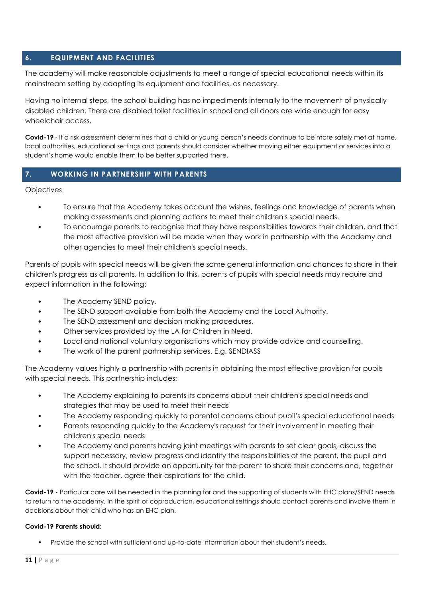# **6. EQUIPMENT AND FACILITIES**

The academy will make reasonable adjustments to meet a range of special educational needs within its mainstream setting by adapting its equipment and facilities, as necessary.

Having no internal steps, the school building has no impediments internally to the movement of physically disabled children. There are disabled toilet facilities in school and all doors are wide enough for easy wheelchair access.

**Covid-19** - If a risk assessment determines that a child or young person's needs continue to be more safely met at home, local authorities, educational settings and parents should consider whether moving either equipment or services into a student's home would enable them to be better supported there.

# **7. WORKING IN PARTNERSHIP WITH PARENTS**

**Objectives** 

- To ensure that the Academy takes account the wishes, feelings and knowledge of parents when making assessments and planning actions to meet their children's special needs.
- To encourage parents to recognise that they have responsibilities towards their children, and that the most effective provision will be made when they work in partnership with the Academy and other agencies to meet their children's special needs.

Parents of pupils with special needs will be given the same general information and chances to share in their children's progress as all parents. In addition to this, parents of pupils with special needs may require and expect information in the following:

- The Academy SEND policy.
- The SEND support available from both the Academy and the Local Authority.
- The SEND assessment and decision making procedures.
- Other services provided by the LA for Children in Need.
- Local and national voluntary organisations which may provide advice and counselling.
- The work of the parent partnership services. E.g. SENDIASS

The Academy values highly a partnership with parents in obtaining the most effective provision for pupils with special needs. This partnership includes:

- The Academy explaining to parents its concerns about their children's special needs and strategies that may be used to meet their needs
- The Academy responding quickly to parental concerns about pupil's special educational needs
- Parents responding quickly to the Academy's request for their involvement in meeting their children's special needs
- The Academy and parents having joint meetings with parents to set clear goals, discuss the support necessary, review progress and identify the responsibilities of the parent, the pupil and the school. It should provide an opportunity for the parent to share their concerns and, together with the teacher, agree their aspirations for the child.

**Covid-19 -** Particular care will be needed in the planning for and the supporting of students with EHC plans/SEND needs to return to the academy. In the spirit of coproduction, educational settings should contact parents and involve them in decisions about their child who has an EHC plan.

#### **Covid-19 Parents should:**

• Provide the school with sufficient and up-to-date information about their student's needs.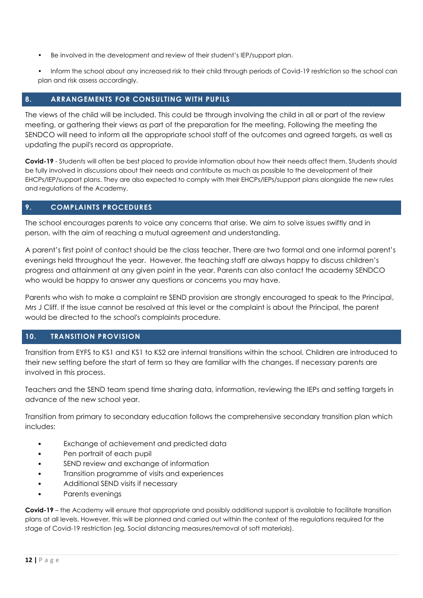- Be involved in the development and review of their student's IEP/support plan.
- Inform the school about any increased risk to their child through periods of Covid-19 restriction so the school can plan and risk assess accordingly.

# **8. ARRANGEMENTS FOR CONSULTING WITH PUPILS**

The views of the child will be included. This could be through involving the child in all or part of the review meeting, or gathering their views as part of the preparation for the meeting. Following the meeting the SENDCO will need to inform all the appropriate school staff of the outcomes and agreed targets, as well as updating the pupil's record as appropriate.

**Covid-19** - Students will often be best placed to provide information about how their needs affect them. Students should be fully involved in discussions about their needs and contribute as much as possible to the development of their EHCPs/IEP/support plans. They are also expected to comply with their EHCPs/IEPs/support plans alongside the new rules and regulations of the Academy.

# **9. COMPLAINTS PROCEDURES**

The school encourages parents to voice any concerns that arise. We aim to solve issues swiftly and in person, with the aim of reaching a mutual agreement and understanding.

A parent's first point of contact should be the class teacher. There are two formal and one informal parent's evenings held throughout the year. However, the teaching staff are always happy to discuss children's progress and attainment at any given point in the year. Parents can also contact the academy SENDCO who would be happy to answer any questions or concerns you may have.

Parents who wish to make a complaint re SEND provision are strongly encouraged to speak to the Principal, Mrs J Cliff. If the issue cannot be resolved at this level or the complaint is about the Principal, the parent would be directed to the school's complaints procedure.

# **10. TRANSITION PROVISION**

Transition from EYFS to KS1 and KS1 to KS2 are internal transitions within the school. Children are introduced to their new setting before the start of term so they are familiar with the changes. If necessary parents are involved in this process.

Teachers and the SEND team spend time sharing data, information, reviewing the IEPs and setting targets in advance of the new school year.

Transition from primary to secondary education follows the comprehensive secondary transition plan which includes:

- Exchange of achievement and predicted data
- Pen portrait of each pupil
- SEND review and exchange of information
- Transition programme of visits and experiences
- Additional SEND visits if necessary
- Parents evenings

**Covid-19** – the Academy will ensure that appropriate and possibly additional support is available to facilitate transition plans at all levels. However, this will be planned and carried out within the context of the regulations required for the stage of Covid-19 restriction (eg. Social distancing measures/removal of soft materials).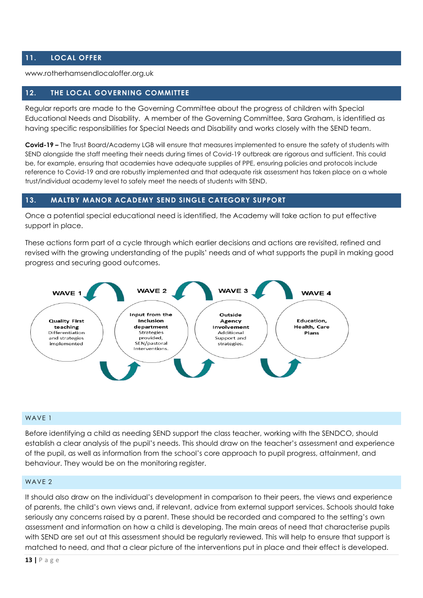# **11. LOCAL OFFER**

www.rotherhamsendlocaloffer.org.uk

# **12. THE LOCAL GOVERNING COMMITTEE**

Regular reports are made to the Governing Committee about the progress of children with Special Educational Needs and Disability. A member of the Governing Committee, Sara Graham, is identified as having specific responsibilities for Special Needs and Disability and works closely with the SEND team.

**Covid-19 –** The Trust Board/Academy LGB will ensure that measures implemented to ensure the safety of students with SEND alongside the staff meeting their needs during times of Covid-19 outbreak are rigorous and sufficient. This could be, for example, ensuring that academies have adequate supplies of PPE, ensuring policies and protocols include reference to Covid-19 and are robustly implemented and that adequate risk assessment has taken place on a whole trust/individual academy level to safely meet the needs of students with SEND.

#### **13. MALTBY MANOR ACADEMY SEND SINGLE CATEGORY SUPPORT**

Once a potential special educational need is identified, the Academy will take action to put effective support in place.

These actions form part of a cycle through which earlier decisions and actions are revisited, refined and revised with the growing understanding of the pupils' needs and of what supports the pupil in making good progress and securing good outcomes.



#### WAVE 1

Before identifying a child as needing SEND support the class teacher, working with the SENDCO, should establish a clear analysis of the pupil's needs. This should draw on the teacher's assessment and experience of the pupil, as well as information from the school's core approach to pupil progress, attainment, and behaviour. They would be on the monitoring register.

#### WAV<sub>F2</sub>

It should also draw on the individual's development in comparison to their peers, the views and experience of parents, the child's own views and, if relevant, advice from external support services. Schools should take seriously any concerns raised by a parent. These should be recorded and compared to the setting's own assessment and information on how a child is developing. The main areas of need that characterise pupils with SEND are set out at this assessment should be regularly reviewed. This will help to ensure that support is matched to need, and that a clear picture of the interventions put in place and their effect is developed.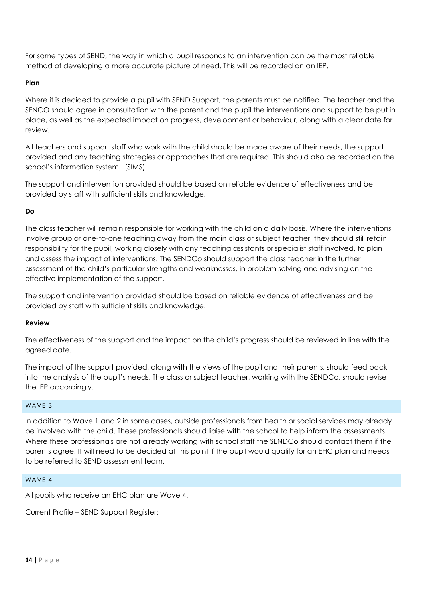For some types of SEND, the way in which a pupil responds to an intervention can be the most reliable method of developing a more accurate picture of need. This will be recorded on an IEP.

# **Plan**

Where it is decided to provide a pupil with SEND Support, the parents must be notified. The teacher and the SENCO should agree in consultation with the parent and the pupil the interventions and support to be put in place, as well as the expected impact on progress, development or behaviour, along with a clear date for review.

All teachers and support staff who work with the child should be made aware of their needs, the support provided and any teaching strategies or approaches that are required. This should also be recorded on the school's information system. (SIMS)

The support and intervention provided should be based on reliable evidence of effectiveness and be provided by staff with sufficient skills and knowledge.

# **Do**

The class teacher will remain responsible for working with the child on a daily basis. Where the interventions involve group or one-to-one teaching away from the main class or subject teacher, they should still retain responsibility for the pupil, working closely with any teaching assistants or specialist staff involved, to plan and assess the impact of interventions. The SENDCo should support the class teacher in the further assessment of the child's particular strengths and weaknesses, in problem solving and advising on the effective implementation of the support.

The support and intervention provided should be based on reliable evidence of effectiveness and be provided by staff with sufficient skills and knowledge.

# **Review**

The effectiveness of the support and the impact on the child's progress should be reviewed in line with the agreed date.

The impact of the support provided, along with the views of the pupil and their parents, should feed back into the analysis of the pupil's needs. The class or subject teacher, working with the SENDCo, should revise the IEP accordingly.

# WAVE 3

In addition to Wave 1 and 2 in some cases, outside professionals from health or social services may already be involved with the child. These professionals should liaise with the school to help inform the assessments. Where these professionals are not already working with school staff the SENDCo should contact them if the parents agree. It will need to be decided at this point if the pupil would qualify for an EHC plan and needs to be referred to SEND assessment team.

# WAVE 4

All pupils who receive an EHC plan are Wave 4.

Current Profile – SEND Support Register: